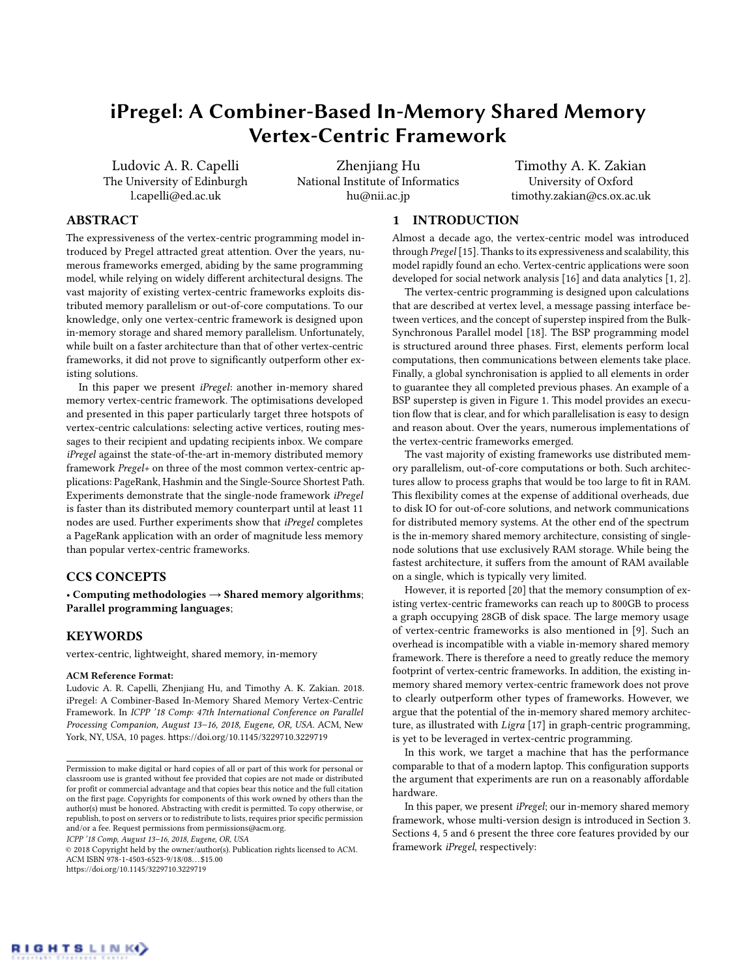# iPregel: A Combiner-Based In-Memory Shared Memory Vertex-Centric Framework

Ludovic A. R. Capelli The University of Edinburgh l.capelli@ed.ac.uk

Zhenjiang Hu National Institute of Informatics hu@nii.ac.jp

Timothy A. K. Zakian University of Oxford timothy.zakian@cs.ox.ac.uk

# ABSTRACT

The expressiveness of the vertex-centric programming model introduced by Pregel attracted great attention. Over the years, numerous frameworks emerged, abiding by the same programming model, while relying on widely different architectural designs. The vast majority of existing vertex-centric frameworks exploits distributed memory parallelism or out-of-core computations. To our knowledge, only one vertex-centric framework is designed upon in-memory storage and shared memory parallelism. Unfortunately, while built on a faster architecture than that of other vertex-centric frameworks, it did not prove to significantly outperform other existing solutions.

In this paper we present iPregel: another in-memory shared memory vertex-centric framework. The optimisations developed and presented in this paper particularly target three hotspots of vertex-centric calculations: selecting active vertices, routing messages to their recipient and updating recipients inbox. We compare iPregel against the state-of-the-art in-memory distributed memory framework Pregel+ on three of the most common vertex-centric applications: PageRank, Hashmin and the Single-Source Shortest Path. Experiments demonstrate that the single-node framework iPregel is faster than its distributed memory counterpart until at least 11 nodes are used. Further experiments show that iPregel completes a PageRank application with an order of magnitude less memory than popular vertex-centric frameworks.

# CCS CONCEPTS

• Computing methodologies  $\rightarrow$  Shared memory algorithms; Parallel programming languages;

## KEYWORDS

vertex-centric, lightweight, shared memory, in-memory

#### ACM Reference Format:

Ludovic A. R. Capelli, Zhenjiang Hu, and Timothy A. K. Zakian. 2018. iPregel: A Combiner-Based In-Memory Shared Memory Vertex-Centric Framework. In ICPP '18 Comp: 47th International Conference on Parallel Processing Companion, August 13–16, 2018, Eugene, OR, USA. ACM, New York, NY, USA, [10](#page-9-0) pages.<https://doi.org/10.1145/3229710.3229719>

ICPP '18 Comp, August 13–16, 2018, Eugene, OR, USA

 $\odot$  2018 Copyright held by the owner/author(s). Publication rights licensed to ACM. ACM ISBN 978-1-4503-6523-9/18/08. . . \$15.00 <https://doi.org/10.1145/3229710.3229719>

## 1 INTRODUCTION

Almost a decade ago, the vertex-centric model was introduced through Pregel [\[15\]](#page-9-1). Thanks to its expressiveness and scalability, this model rapidly found an echo. Vertex-centric applications were soon developed for social network analysis [\[16\]](#page-9-2) and data analytics [\[1,](#page-9-3) [2\]](#page-9-4).

The vertex-centric programming is designed upon calculations that are described at vertex level, a message passing interface between vertices, and the concept of superstep inspired from the Bulk-Synchronous Parallel model [\[18\]](#page-9-5). The BSP programming model is structured around three phases. First, elements perform local computations, then communications between elements take place. Finally, a global synchronisation is applied to all elements in order to guarantee they all completed previous phases. An example of a BSP superstep is given in Figure [1.](#page-1-0) This model provides an execution flow that is clear, and for which parallelisation is easy to design and reason about. Over the years, numerous implementations of the vertex-centric frameworks emerged.

The vast majority of existing frameworks use distributed memory parallelism, out-of-core computations or both. Such architectures allow to process graphs that would be too large to fit in RAM. This flexibility comes at the expense of additional overheads, due to disk IO for out-of-core solutions, and network communications for distributed memory systems. At the other end of the spectrum is the in-memory shared memory architecture, consisting of singlenode solutions that use exclusively RAM storage. While being the fastest architecture, it suffers from the amount of RAM available on a single, which is typically very limited.

However, it is reported [\[20\]](#page-9-6) that the memory consumption of existing vertex-centric frameworks can reach up to 800GB to process a graph occupying 28GB of disk space. The large memory usage of vertex-centric frameworks is also mentioned in [\[9\]](#page-9-7). Such an overhead is incompatible with a viable in-memory shared memory framework. There is therefore a need to greatly reduce the memory footprint of vertex-centric frameworks. In addition, the existing inmemory shared memory vertex-centric framework does not prove to clearly outperform other types of frameworks. However, we argue that the potential of the in-memory shared memory architecture, as illustrated with Ligra [\[17\]](#page-9-8) in graph-centric programming, is yet to be leveraged in vertex-centric programming.

In this work, we target a machine that has the performance comparable to that of a modern laptop. This configuration supports the argument that experiments are run on a reasonably affordable hardware.

In this paper, we present iPregel; our in-memory shared memory framework, whose multi-version design is introduced in Section [3.](#page-1-1) Sections [4,](#page-3-0) [5](#page-3-1) and [6](#page-4-0) present the three core features provided by our framework iPregel, respectively:



Permission to make digital or hard copies of all or part of this work for personal or classroom use is granted without fee provided that copies are not made or distributed for profit or commercial advantage and that copies bear this notice and the full citation on the first page. Copyrights for components of this work owned by others than the author(s) must be honored. Abstracting with credit is permitted. To copy otherwise, or republish, to post on servers or to redistribute to lists, requires prior specific permission and/or a fee. Request permissions from permissions@acm.org.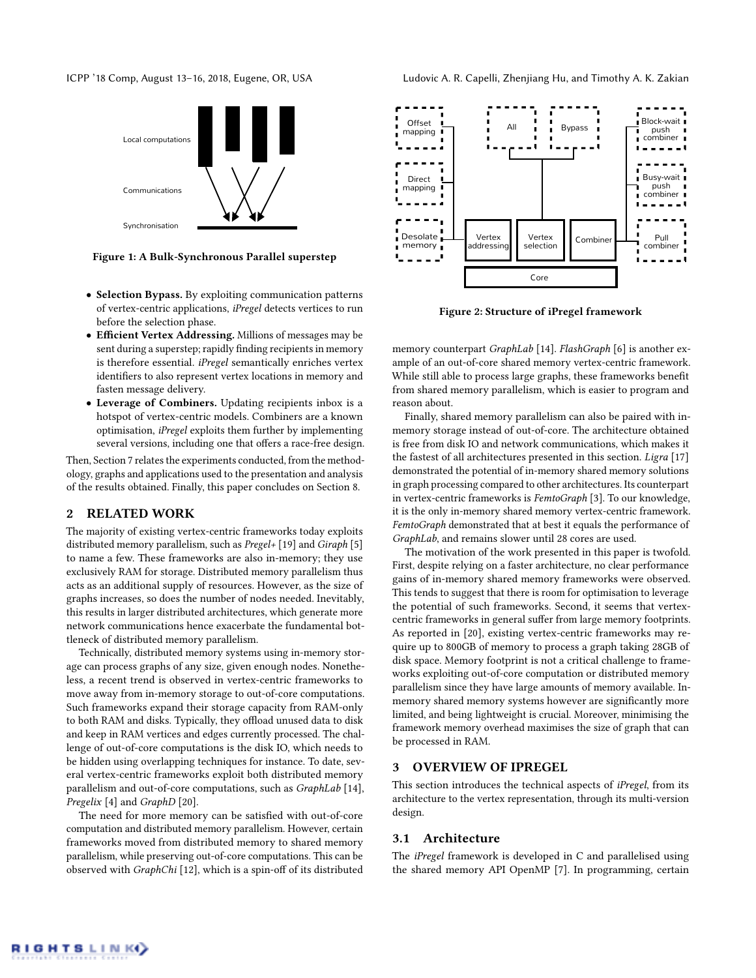<span id="page-1-0"></span>



Figure 1: A Bulk-Synchronous Parallel superstep

- Selection Bypass. By exploiting communication patterns of vertex-centric applications, iPregel detects vertices to run before the selection phase.
- Efficient Vertex Addressing. Millions of messages may be sent during a superstep; rapidly finding recipients in memory is therefore essential. *iPregel* semantically enriches vertex identifiers to also represent vertex locations in memory and fasten message delivery.
- Leverage of Combiners. Updating recipients inbox is a hotspot of vertex-centric models. Combiners are a known optimisation, iPregel exploits them further by implementing several versions, including one that offers a race-free design.

Then, Section [7](#page-5-0) relates the experiments conducted, from the methodology, graphs and applications used to the presentation and analysis of the results obtained. Finally, this paper concludes on Section [8.](#page-9-9)

## 2 RELATED WORK

The majority of existing vertex-centric frameworks today exploits distributed memory parallelism, such as Pregel+ [\[19\]](#page-9-10) and Giraph [\[5\]](#page-9-11) to name a few. These frameworks are also in-memory; they use exclusively RAM for storage. Distributed memory parallelism thus acts as an additional supply of resources. However, as the size of graphs increases, so does the number of nodes needed. Inevitably, this results in larger distributed architectures, which generate more network communications hence exacerbate the fundamental bottleneck of distributed memory parallelism.

Technically, distributed memory systems using in-memory storage can process graphs of any size, given enough nodes. Nonetheless, a recent trend is observed in vertex-centric frameworks to move away from in-memory storage to out-of-core computations. Such frameworks expand their storage capacity from RAM-only to both RAM and disks. Typically, they offload unused data to disk and keep in RAM vertices and edges currently processed. The challenge of out-of-core computations is the disk IO, which needs to be hidden using overlapping techniques for instance. To date, several vertex-centric frameworks exploit both distributed memory parallelism and out-of-core computations, such as GraphLab [\[14\]](#page-9-12), Pregelix [\[4\]](#page-9-13) and GraphD [\[20\]](#page-9-6).

The need for more memory can be satisfied with out-of-core computation and distributed memory parallelism. However, certain frameworks moved from distributed memory to shared memory parallelism, while preserving out-of-core computations. This can be observed with GraphChi [\[12\]](#page-9-14), which is a spin-off of its distributed

<span id="page-1-2"></span>

Figure 2: Structure of iPregel framework

memory counterpart GraphLab [\[14\]](#page-9-12). FlashGraph [\[6\]](#page-9-15) is another example of an out-of-core shared memory vertex-centric framework. While still able to process large graphs, these frameworks benefit from shared memory parallelism, which is easier to program and reason about.

Finally, shared memory parallelism can also be paired with inmemory storage instead of out-of-core. The architecture obtained is free from disk IO and network communications, which makes it the fastest of all architectures presented in this section. Ligra [\[17\]](#page-9-8) demonstrated the potential of in-memory shared memory solutions in graph processing compared to other architectures. Its counterpart in vertex-centric frameworks is FemtoGraph [\[3\]](#page-9-16). To our knowledge, it is the only in-memory shared memory vertex-centric framework. FemtoGraph demonstrated that at best it equals the performance of GraphLab, and remains slower until 28 cores are used.

The motivation of the work presented in this paper is twofold. First, despite relying on a faster architecture, no clear performance gains of in-memory shared memory frameworks were observed. This tends to suggest that there is room for optimisation to leverage the potential of such frameworks. Second, it seems that vertexcentric frameworks in general suffer from large memory footprints. As reported in [\[20\]](#page-9-6), existing vertex-centric frameworks may require up to 800GB of memory to process a graph taking 28GB of disk space. Memory footprint is not a critical challenge to frameworks exploiting out-of-core computation or distributed memory parallelism since they have large amounts of memory available. Inmemory shared memory systems however are significantly more limited, and being lightweight is crucial. Moreover, minimising the framework memory overhead maximises the size of graph that can be processed in RAM.

## <span id="page-1-1"></span>3 OVERVIEW OF IPREGEL

This section introduces the technical aspects of iPregel, from its architecture to the vertex representation, through its multi-version design.

## <span id="page-1-3"></span>3.1 Architecture

The iPregel framework is developed in C and parallelised using the shared memory API OpenMP [\[7\]](#page-9-17). In programming, certain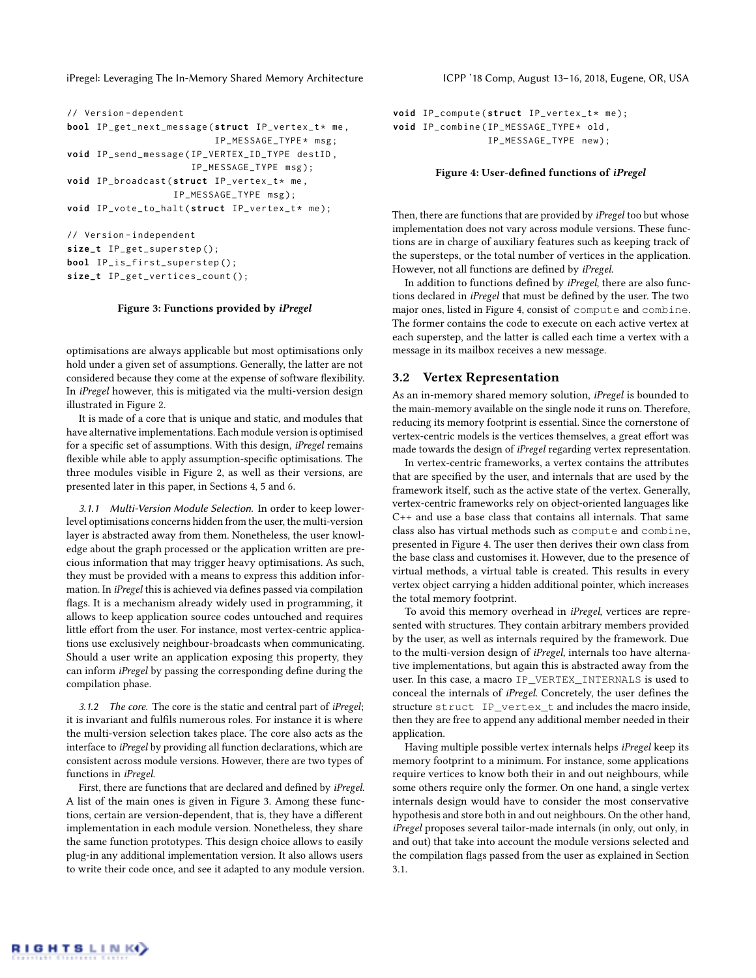```
// Version - dependent
bool IP_get_next_message (struct IP_vertex_t* me,
                          IP_MESSAGE_TYPE * msg ;
void IP_send_message ( IP_VERTEX_ID_TYPE destID ,
                      IP_MESSAGE_TYPE msg );
void IP_broadcast (struct IP_vertex_t* me,
                   IP_MESSAGE_TYPE msg );
void IP_vote_to_halt (struct IP_vertex_t* me);
```

```
// Version - independent
size_t IP_get_superstep ();
bool IP_is_first_superstep ();
size_t IP_get_vertices_count ();
```
#### Figure 3: Functions provided by iPregel

optimisations are always applicable but most optimisations only hold under a given set of assumptions. Generally, the latter are not considered because they come at the expense of software flexibility. In iPregel however, this is mitigated via the multi-version design illustrated in Figure [2.](#page-1-2)

It is made of a core that is unique and static, and modules that have alternative implementations. Each module version is optimised for a specific set of assumptions. With this design, iPregel remains flexible while able to apply assumption-specific optimisations. The three modules visible in Figure [2,](#page-1-2) as well as their versions, are presented later in this paper, in Sections [4,](#page-3-0) [5](#page-3-1) and [6.](#page-4-0)

3.1.1 Multi-Version Module Selection. In order to keep lowerlevel optimisations concerns hidden from the user, the multi-version layer is abstracted away from them. Nonetheless, the user knowledge about the graph processed or the application written are precious information that may trigger heavy optimisations. As such, they must be provided with a means to express this addition information. In iPregel this is achieved via defines passed via compilation flags. It is a mechanism already widely used in programming, it allows to keep application source codes untouched and requires little effort from the user. For instance, most vertex-centric applications use exclusively neighbour-broadcasts when communicating. Should a user write an application exposing this property, they can inform iPregel by passing the corresponding define during the compilation phase.

3.1.2 The core. The core is the static and central part of iPregel; it is invariant and fulfils numerous roles. For instance it is where the multi-version selection takes place. The core also acts as the interface to iPregel by providing all function declarations, which are consistent across module versions. However, there are two types of functions in iPregel.

First, there are functions that are declared and defined by iPregel. A list of the main ones is given in Figure [3.](#page-2-0) Among these functions, certain are version-dependent, that is, they have a different implementation in each module version. Nonetheless, they share the same function prototypes. This design choice allows to easily plug-in any additional implementation version. It also allows users to write their code once, and see it adapted to any module version.

```
void IP_compute (struct IP_vertex_t* me);
void IP_combine ( IP_MESSAGE_TYPE * old ,
                 IP_MESSAGE_TYPE new );
```
#### Figure 4: User-defined functions of iPregel

Then, there are functions that are provided by *iPregel* too but whose implementation does not vary across module versions. These functions are in charge of auxiliary features such as keeping track of the supersteps, or the total number of vertices in the application. However, not all functions are defined by iPregel.

In addition to functions defined by iPregel, there are also functions declared in iPregel that must be defined by the user. The two major ones, listed in Figure [4,](#page-2-1) consist of compute and combine. The former contains the code to execute on each active vertex at each superstep, and the latter is called each time a vertex with a message in its mailbox receives a new message.

#### <span id="page-2-2"></span>3.2 Vertex Representation

As an in-memory shared memory solution, iPregel is bounded to the main-memory available on the single node it runs on. Therefore, reducing its memory footprint is essential. Since the cornerstone of vertex-centric models is the vertices themselves, a great effort was made towards the design of iPregel regarding vertex representation.

In vertex-centric frameworks, a vertex contains the attributes that are specified by the user, and internals that are used by the framework itself, such as the active state of the vertex. Generally, vertex-centric frameworks rely on object-oriented languages like C++ and use a base class that contains all internals. That same class also has virtual methods such as compute and combine, presented in Figure [4.](#page-2-1) The user then derives their own class from the base class and customises it. However, due to the presence of virtual methods, a virtual table is created. This results in every vertex object carrying a hidden additional pointer, which increases the total memory footprint.

To avoid this memory overhead in iPregel, vertices are represented with structures. They contain arbitrary members provided by the user, as well as internals required by the framework. Due to the multi-version design of iPregel, internals too have alternative implementations, but again this is abstracted away from the user. In this case, a macro IP\_VERTEX\_INTERNALS is used to conceal the internals of iPregel. Concretely, the user defines the structure struct IP\_vertex\_t and includes the macro inside, then they are free to append any additional member needed in their application.

Having multiple possible vertex internals helps iPregel keep its memory footprint to a minimum. For instance, some applications require vertices to know both their in and out neighbours, while some others require only the former. On one hand, a single vertex internals design would have to consider the most conservative hypothesis and store both in and out neighbours. On the other hand, iPregel proposes several tailor-made internals (in only, out only, in and out) that take into account the module versions selected and the compilation flags passed from the user as explained in Section [3.1.](#page-1-3)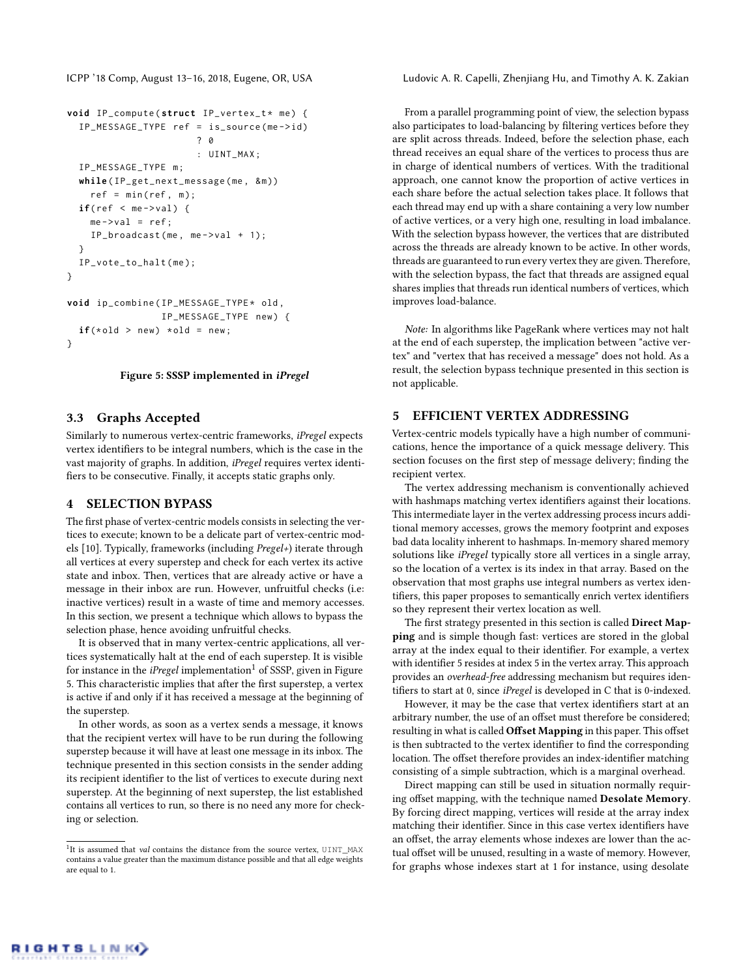```
void IP_compute (struct IP_vertex_t* me) {
  IP_MESSAGE_TYPE ref = is_source ( me - > id )
                        2a: UINT_MAX ;
  IP_MESSAGE_TYPE m ;
  while ( IP_get_next_message ( me , & m ))
    ref = min(ref, m);if(ref < me->val) {
    me ->val = ref;
    IP_broadcast(me, me->val + 1);
  }
  IP_vote_to_halt ( me );
}
void ip_combine ( IP_MESSAGE_TYPE * old ,
                 IP_MESSAGE_TYPE new ) {
  if(\star o1d > new) \star o1d = new;}
```
#### Figure 5: SSSP implemented in iPregel

#### 3.3 Graphs Accepted

Similarly to numerous vertex-centric frameworks, iPregel expects vertex identifiers to be integral numbers, which is the case in the vast majority of graphs. In addition, iPregel requires vertex identifiers to be consecutive. Finally, it accepts static graphs only.

#### <span id="page-3-0"></span>4 SELECTION BYPASS

The first phase of vertex-centric models consists in selecting the vertices to execute; known to be a delicate part of vertex-centric models [\[10\]](#page-9-18). Typically, frameworks (including Pregel+) iterate through all vertices at every superstep and check for each vertex its active state and inbox. Then, vertices that are already active or have a message in their inbox are run. However, unfruitful checks (i.e: inactive vertices) result in a waste of time and memory accesses. In this section, we present a technique which allows to bypass the selection phase, hence avoiding unfruitful checks.

It is observed that in many vertex-centric applications, all vertices systematically halt at the end of each superstep. It is visible for instance in the *iPregel* implementation<sup>[1](#page-3-2)</sup> of SSSP, given in Figure [5.](#page-3-3) This characteristic implies that after the first superstep, a vertex is active if and only if it has received a message at the beginning of the superstep.

In other words, as soon as a vertex sends a message, it knows that the recipient vertex will have to be run during the following superstep because it will have at least one message in its inbox. The technique presented in this section consists in the sender adding its recipient identifier to the list of vertices to execute during next superstep. At the beginning of next superstep, the list established contains all vertices to run, so there is no need any more for checking or selection.

ICPP '18 Comp, August 13–16, 2018, Eugene, OR, USA Ludovic A. R. Capelli, Zhenjiang Hu, and Timothy A. K. Zakian

From a parallel programming point of view, the selection bypass also participates to load-balancing by filtering vertices before they are split across threads. Indeed, before the selection phase, each thread receives an equal share of the vertices to process thus are in charge of identical numbers of vertices. With the traditional approach, one cannot know the proportion of active vertices in each share before the actual selection takes place. It follows that each thread may end up with a share containing a very low number of active vertices, or a very high one, resulting in load imbalance. With the selection bypass however, the vertices that are distributed across the threads are already known to be active. In other words, threads are guaranteed to run every vertex they are given. Therefore, with the selection bypass, the fact that threads are assigned equal shares implies that threads run identical numbers of vertices, which improves load-balance.

Note: In algorithms like PageRank where vertices may not halt at the end of each superstep, the implication between "active vertex" and "vertex that has received a message" does not hold. As a result, the selection bypass technique presented in this section is not applicable.

## <span id="page-3-1"></span>5 EFFICIENT VERTEX ADDRESSING

Vertex-centric models typically have a high number of communications, hence the importance of a quick message delivery. This section focuses on the first step of message delivery; finding the recipient vertex.

The vertex addressing mechanism is conventionally achieved with hashmaps matching vertex identifiers against their locations. This intermediate layer in the vertex addressing process incurs additional memory accesses, grows the memory footprint and exposes bad data locality inherent to hashmaps. In-memory shared memory solutions like *iPregel* typically store all vertices in a single array, so the location of a vertex is its index in that array. Based on the observation that most graphs use integral numbers as vertex identifiers, this paper proposes to semantically enrich vertex identifiers so they represent their vertex location as well.

The first strategy presented in this section is called **Direct Map**ping and is simple though fast: vertices are stored in the global array at the index equal to their identifier. For example, a vertex with identifier 5 resides at index 5 in the vertex array. This approach provides an overhead-free addressing mechanism but requires identifiers to start at 0, since iPregel is developed in C that is 0-indexed.

However, it may be the case that vertex identifiers start at an arbitrary number, the use of an offset must therefore be considered; resulting in what is called Offset Mapping in this paper. This offset is then subtracted to the vertex identifier to find the corresponding location. The offset therefore provides an index-identifier matching consisting of a simple subtraction, which is a marginal overhead.

Direct mapping can still be used in situation normally requiring offset mapping, with the technique named Desolate Memory. By forcing direct mapping, vertices will reside at the array index matching their identifier. Since in this case vertex identifiers have an offset, the array elements whose indexes are lower than the actual offset will be unused, resulting in a waste of memory. However, for graphs whose indexes start at 1 for instance, using desolate

<span id="page-3-2"></span><sup>&</sup>lt;sup>1</sup>It is assumed that val contains the distance from the source vertex, UINT\_MAX contains a value greater than the maximum distance possible and that all edge weights are equal to 1.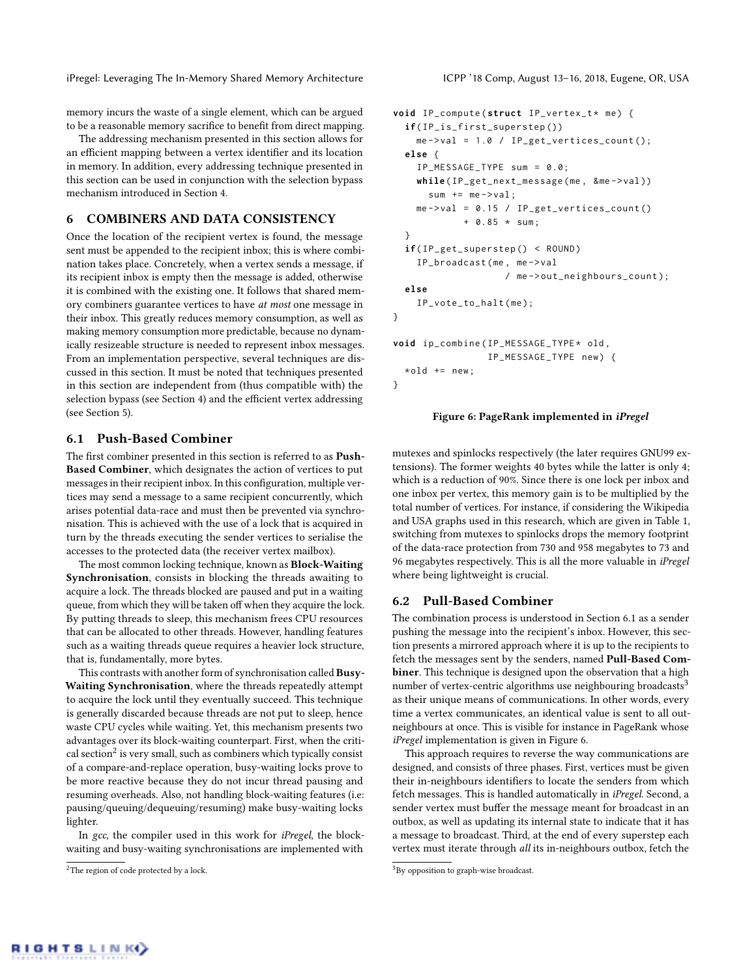memory incurs the waste of a single element, which can be argued to be a reasonable memory sacrifice to benefit from direct mapping.

The addressing mechanism presented in this section allows for an efficient mapping between a vertex identifier and its location in memory. In addition, every addressing technique presented in this section can be used in conjunction with the selection bypass mechanism introduced in Section [4.](#page-3-0)

## <span id="page-4-0"></span>6 COMBINERS AND DATA CONSISTENCY

Once the location of the recipient vertex is found, the message sent must be appended to the recipient inbox; this is where combination takes place. Concretely, when a vertex sends a message, if its recipient inbox is empty then the message is added, otherwise it is combined with the existing one. It follows that shared memory combiners guarantee vertices to have at most one message in their inbox. This greatly reduces memory consumption, as well as making memory consumption more predictable, because no dynamically resizeable structure is needed to represent inbox messages. From an implementation perspective, several techniques are discussed in this section. It must be noted that techniques presented in this section are independent from (thus compatible with) the selection bypass (see Section [4\)](#page-3-0) and the efficient vertex addressing (see Section [5\)](#page-3-1).

## <span id="page-4-2"></span>6.1 Push-Based Combiner

The first combiner presented in this section is referred to as Push-Based Combiner, which designates the action of vertices to put messages in their recipient inbox. In this configuration, multiple vertices may send a message to a same recipient concurrently, which arises potential data-race and must then be prevented via synchronisation. This is achieved with the use of a lock that is acquired in turn by the threads executing the sender vertices to serialise the accesses to the protected data (the receiver vertex mailbox).

The most common locking technique, known as Block-Waiting Synchronisation, consists in blocking the threads awaiting to acquire a lock. The threads blocked are paused and put in a waiting queue, from which they will be taken off when they acquire the lock. By putting threads to sleep, this mechanism frees CPU resources that can be allocated to other threads. However, handling features such as a waiting threads queue requires a heavier lock structure, that is, fundamentally, more bytes.

This contrasts with another form of synchronisation called Busy-Waiting Synchronisation, where the threads repeatedly attempt to acquire the lock until they eventually succeed. This technique is generally discarded because threads are not put to sleep, hence waste CPU cycles while waiting. Yet, this mechanism presents two advantages over its block-waiting counterpart. First, when the criti-cal section<sup>[2](#page-4-1)</sup> is very small, such as combiners which typically consist of a compare-and-replace operation, busy-waiting locks prove to be more reactive because they do not incur thread pausing and resuming overheads. Also, not handling block-waiting features (i.e: pausing/queuing/dequeuing/resuming) make busy-waiting locks lighter.

In gcc, the compiler used in this work for iPregel, the blockwaiting and busy-waiting synchronisations are implemented with

```
void IP_compute (struct IP_vertex_t* me) {
  if( IP_is_first_superstep ())
    me ->val = 1.0 / IP_get_vertices_count();
  else {
    IP_MESSAGE_TYPE sum = 0.0;
    while(IP_get_next_message(me, &me->val))
      sum += me->val;me ->val = 0.15 / IP_get_vertices_count()
             + 0.85 * sum ;
  }
  if( IP_get_superstep () < ROUND )
    IP_broadcast ( me , me - > val
                    / me->out_neighbours_count);
  else
    IP_vote_to_halt ( me );
}
void ip_combine ( IP_MESSAGE_TYPE * old ,
                 IP_MESSAGE_TYPE new ) {
  * old += new;
}
```
# Figure 6: PageRank implemented in iPregel

mutexes and spinlocks respectively (the later requires GNU99 extensions). The former weights 40 bytes while the latter is only 4; which is a reduction of 90%. Since there is one lock per inbox and one inbox per vertex, this memory gain is to be multiplied by the total number of vertices. For instance, if considering the Wikipedia and USA graphs used in this research, which are given in Table [1,](#page-5-1) switching from mutexes to spinlocks drops the memory footprint of the data-race protection from 730 and 958 megabytes to 73 and 96 megabytes respectively. This is all the more valuable in iPregel where being lightweight is crucial.

#### <span id="page-4-5"></span>6.2 Pull-Based Combiner

The combination process is understood in Section [6.1](#page-4-2) as a sender pushing the message into the recipient's inbox. However, this section presents a mirrored approach where it is up to the recipients to fetch the messages sent by the senders, named Pull-Based Combiner. This technique is designed upon the observation that a high number of vertex-centric algorithms use neighbouring broadcasts<sup>[3](#page-4-3)</sup> as their unique means of communications. In other words, every time a vertex communicates, an identical value is sent to all outneighbours at once. This is visible for instance in PageRank whose iPregel implementation is given in Figure [6.](#page-4-4)

This approach requires to reverse the way communications are designed, and consists of three phases. First, vertices must be given their in-neighbours identifiers to locate the senders from which fetch messages. This is handled automatically in iPregel. Second, a sender vertex must buffer the message meant for broadcast in an outbox, as well as updating its internal state to indicate that it has a message to broadcast. Third, at the end of every superstep each vertex must iterate through all its in-neighbours outbox, fetch the

<span id="page-4-1"></span><sup>&</sup>lt;sup>2</sup>The region of code protected by a lock.

<span id="page-4-3"></span><sup>&</sup>lt;sup>3</sup>By opposition to graph-wise broadcast.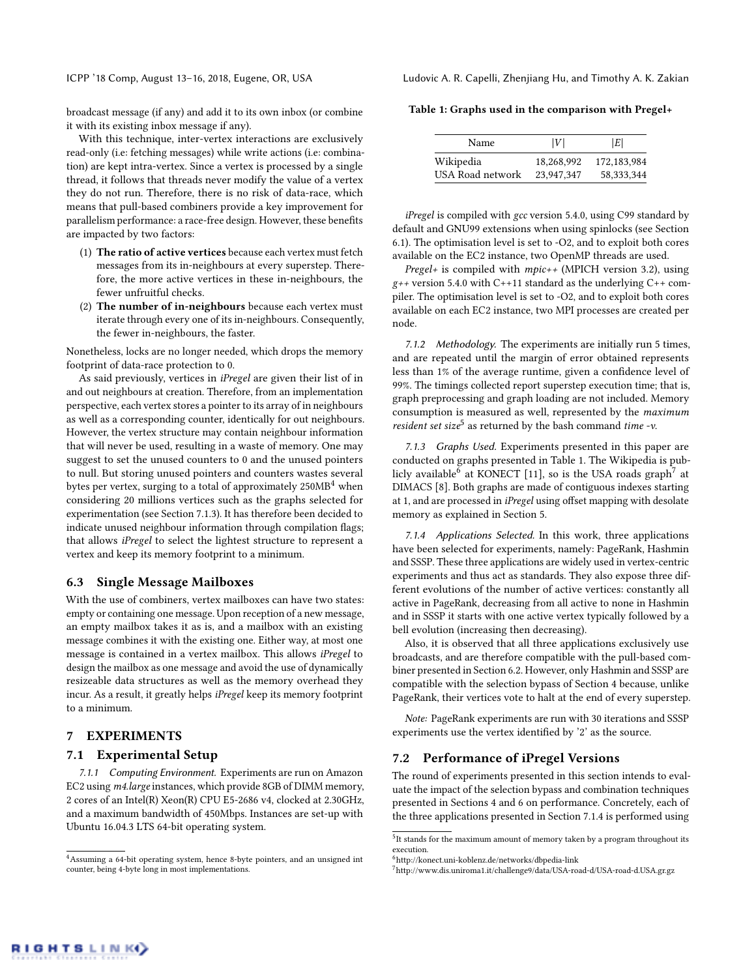broadcast message (if any) and add it to its own inbox (or combine it with its existing inbox message if any).

With this technique, inter-vertex interactions are exclusively read-only (i.e: fetching messages) while write actions (i.e: combination) are kept intra-vertex. Since a vertex is processed by a single thread, it follows that threads never modify the value of a vertex they do not run. Therefore, there is no risk of data-race, which means that pull-based combiners provide a key improvement for parallelism performance: a race-free design. However, these benefits are impacted by two factors:

- (1) The ratio of active vertices because each vertex must fetch messages from its in-neighbours at every superstep. Therefore, the more active vertices in these in-neighbours, the fewer unfruitful checks.
- (2) The number of in-neighbours because each vertex must iterate through every one of its in-neighbours. Consequently, the fewer in-neighbours, the faster.

Nonetheless, locks are no longer needed, which drops the memory footprint of data-race protection to 0.

As said previously, vertices in iPregel are given their list of in and out neighbours at creation. Therefore, from an implementation perspective, each vertex stores a pointer to its array of in neighbours as well as a corresponding counter, identically for out neighbours. However, the vertex structure may contain neighbour information that will never be used, resulting in a waste of memory. One may suggest to set the unused counters to 0 and the unused pointers to null. But storing unused pointers and counters wastes several bytes per vertex, surging to a total of approximately  $250MB<sup>4</sup>$  $250MB<sup>4</sup>$  $250MB<sup>4</sup>$  when considering 20 millions vertices such as the graphs selected for experimentation (see Section [7.1.3\)](#page-5-3). It has therefore been decided to indicate unused neighbour information through compilation flags; that allows iPregel to select the lightest structure to represent a vertex and keep its memory footprint to a minimum.

#### <span id="page-5-9"></span>6.3 Single Message Mailboxes

With the use of combiners, vertex mailboxes can have two states: empty or containing one message. Upon reception of a new message, an empty mailbox takes it as is, and a mailbox with an existing message combines it with the existing one. Either way, at most one message is contained in a vertex mailbox. This allows iPregel to design the mailbox as one message and avoid the use of dynamically resizeable data structures as well as the memory overhead they incur. As a result, it greatly helps iPregel keep its memory footprint to a minimum.

## <span id="page-5-0"></span>7 EXPERIMENTS

#### 7.1 Experimental Setup

7.1.1 Computing Environment. Experiments are run on Amazon EC2 using m4.large instances, which provide 8GB of DIMM memory, 2 cores of an Intel(R) Xeon(R) CPU E5-2686 v4, clocked at 2.30GHz, and a maximum bandwidth of 450Mbps. Instances are set-up with Ubuntu 16.04.3 LTS 64-bit operating system.

ICPP '18 Comp, August 13–16, 2018, Eugene, OR, USA Ludovic A. R. Capelli, Zhenjiang Hu, and Timothy A. K. Zakian

<span id="page-5-1"></span>Table 1: Graphs used in the comparison with Pregel+

| Name             | V          | E            |
|------------------|------------|--------------|
|                  |            |              |
| Wikipedia        | 18.268.992 | 172,183,984  |
| USA Road network | 23,947,347 | 58, 333, 344 |

iPregel is compiled with gcc version 5.4.0, using C99 standard by default and GNU99 extensions when using spinlocks (see Section [6.1\)](#page-4-2). The optimisation level is set to -O2, and to exploit both cores available on the EC2 instance, two OpenMP threads are used.

Pregel+ is compiled with mpic++ (MPICH version 3.2), using  $g++$  version 5.4.0 with C++11 standard as the underlying C++ compiler. The optimisation level is set to -O2, and to exploit both cores available on each EC2 instance, two MPI processes are created per node.

7.1.2 Methodology. The experiments are initially run 5 times, and are repeated until the margin of error obtained represents less than 1% of the average runtime, given a confidence level of 99%. The timings collected report superstep execution time; that is, graph preprocessing and graph loading are not included. Memory consumption is measured as well, represented by the maximum resident set size<sup>[5](#page-5-4)</sup> as returned by the bash command time -v.

<span id="page-5-3"></span>7.1.3 Graphs Used. Experiments presented in this paper are conducted on graphs presented in Table [1.](#page-5-1) The Wikipedia is pub-licly available<sup>[6](#page-5-5)</sup> at KONECT [\[11\]](#page-9-19), so is the USA roads graph<sup>[7](#page-5-6)</sup> at DIMACS [\[8\]](#page-9-20). Both graphs are made of contiguous indexes starting at 1, and are processed in iPregel using offset mapping with desolate memory as explained in Section [5.](#page-3-1)

<span id="page-5-7"></span>7.1.4 Applications Selected. In this work, three applications have been selected for experiments, namely: PageRank, Hashmin and SSSP. These three applications are widely used in vertex-centric experiments and thus act as standards. They also expose three different evolutions of the number of active vertices: constantly all active in PageRank, decreasing from all active to none in Hashmin and in SSSP it starts with one active vertex typically followed by a bell evolution (increasing then decreasing).

Also, it is observed that all three applications exclusively use broadcasts, and are therefore compatible with the pull-based combiner presented in Section [6.2.](#page-4-5) However, only Hashmin and SSSP are compatible with the selection bypass of Section [4](#page-3-0) because, unlike PageRank, their vertices vote to halt at the end of every superstep.

Note: PageRank experiments are run with 30 iterations and SSSP experiments use the vertex identified by '2' as the source.

#### <span id="page-5-8"></span>7.2 Performance of iPregel Versions

The round of experiments presented in this section intends to evaluate the impact of the selection bypass and combination techniques presented in Sections [4](#page-3-0) and [6](#page-4-0) on performance. Concretely, each of the three applications presented in Section [7.1.4](#page-5-7) is performed using

<span id="page-5-2"></span> $^4\!$  Assuming a 64-bit operating system, hence 8-byte pointers, and an unsigned int counter, being 4-byte long in most implementations.

<span id="page-5-4"></span><sup>&</sup>lt;sup>5</sup>It stands for the maximum amount of memory taken by a program throughout its execution.

<span id="page-5-5"></span><sup>6</sup>http://konect.uni-koblenz.de/networks/dbpedia-link

<span id="page-5-6"></span><sup>7</sup>http://www.dis.uniroma1.it/challenge9/data/USA-road-d/USA-road-d.USA.gr.gz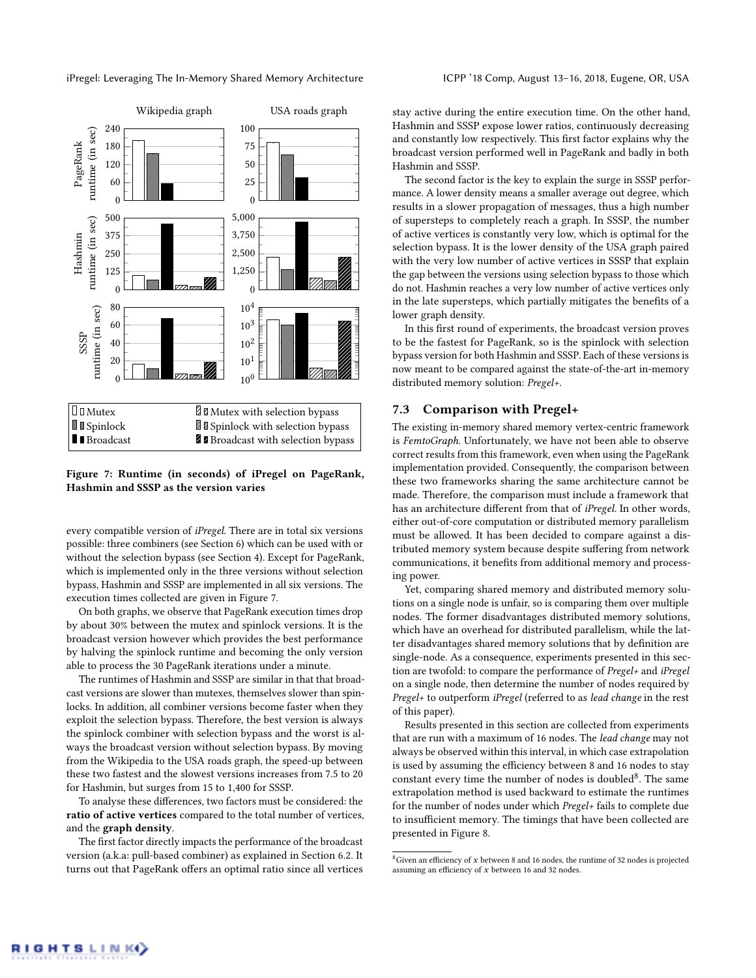<span id="page-6-1"></span>

## Figure 7: Runtime (in seconds) of iPregel on PageRank, Hashmin and SSSP as the version varies

every compatible version of iPregel. There are in total six versions possible: three combiners (see Section [6\)](#page-4-0) which can be used with or without the selection bypass (see Section [4\)](#page-3-0). Except for PageRank, which is implemented only in the three versions without selection bypass, Hashmin and SSSP are implemented in all six versions. The execution times collected are given in Figure [7.](#page-6-1)

On both graphs, we observe that PageRank execution times drop by about 30% between the mutex and spinlock versions. It is the broadcast version however which provides the best performance by halving the spinlock runtime and becoming the only version able to process the 30 PageRank iterations under a minute.

The runtimes of Hashmin and SSSP are similar in that that broadcast versions are slower than mutexes, themselves slower than spinlocks. In addition, all combiner versions become faster when they exploit the selection bypass. Therefore, the best version is always the spinlock combiner with selection bypass and the worst is always the broadcast version without selection bypass. By moving from the Wikipedia to the USA roads graph, the speed-up between these two fastest and the slowest versions increases from 7.5 to 20 for Hashmin, but surges from 15 to 1,400 for SSSP.

To analyse these differences, two factors must be considered: the ratio of active vertices compared to the total number of vertices, and the graph density.

The first factor directly impacts the performance of the broadcast version (a.k.a: pull-based combiner) as explained in Section [6.2.](#page-4-5) It turns out that PageRank offers an optimal ratio since all vertices stay active during the entire execution time. On the other hand, Hashmin and SSSP expose lower ratios, continuously decreasing and constantly low respectively. This first factor explains why the broadcast version performed well in PageRank and badly in both Hashmin and SSSP.

The second factor is the key to explain the surge in SSSP performance. A lower density means a smaller average out degree, which results in a slower propagation of messages, thus a high number of supersteps to completely reach a graph. In SSSP, the number of active vertices is constantly very low, which is optimal for the selection bypass. It is the lower density of the USA graph paired with the very low number of active vertices in SSSP that explain the gap between the versions using selection bypass to those which do not. Hashmin reaches a very low number of active vertices only in the late supersteps, which partially mitigates the benefits of a lower graph density.

<span id="page-6-0"></span>In this first round of experiments, the broadcast version proves to be the fastest for PageRank, so is the spinlock with selection bypass version for both Hashmin and SSSP. Each of these versions is now meant to be compared against the state-of-the-art in-memory distributed memory solution: Pregel+.

#### 7.3 Comparison with Pregel+

The existing in-memory shared memory vertex-centric framework is FemtoGraph. Unfortunately, we have not been able to observe correct results from this framework, even when using the PageRank implementation provided. Consequently, the comparison between these two frameworks sharing the same architecture cannot be made. Therefore, the comparison must include a framework that has an architecture different from that of iPregel. In other words, either out-of-core computation or distributed memory parallelism must be allowed. It has been decided to compare against a distributed memory system because despite suffering from network communications, it benefits from additional memory and processing power.

Yet, comparing shared memory and distributed memory solutions on a single node is unfair, so is comparing them over multiple nodes. The former disadvantages distributed memory solutions, which have an overhead for distributed parallelism, while the latter disadvantages shared memory solutions that by definition are single-node. As a consequence, experiments presented in this section are twofold: to compare the performance of Pregel+ and iPregel on a single node, then determine the number of nodes required by Pregel+ to outperform iPregel (referred to as lead change in the rest of this paper).

Results presented in this section are collected from experiments that are run with a maximum of 16 nodes. The lead change may not always be observed within this interval, in which case extrapolation is used by assuming the efficiency between 8 and 16 nodes to stay constant every time the number of nodes is doubled<sup>[8](#page-6-2)</sup>. The same extrapolation method is used backward to estimate the runtimes for the number of nodes under which Pregel+ fails to complete due to insufficient memory. The timings that have been collected are presented in Figure [8.](#page-7-0)

<span id="page-6-2"></span> ${}^{8}$  Given an efficiency of  $x$  between 8 and 16 nodes, the runtime of 32 nodes is projected assuming an efficiency of x between 16 and 32 nodes.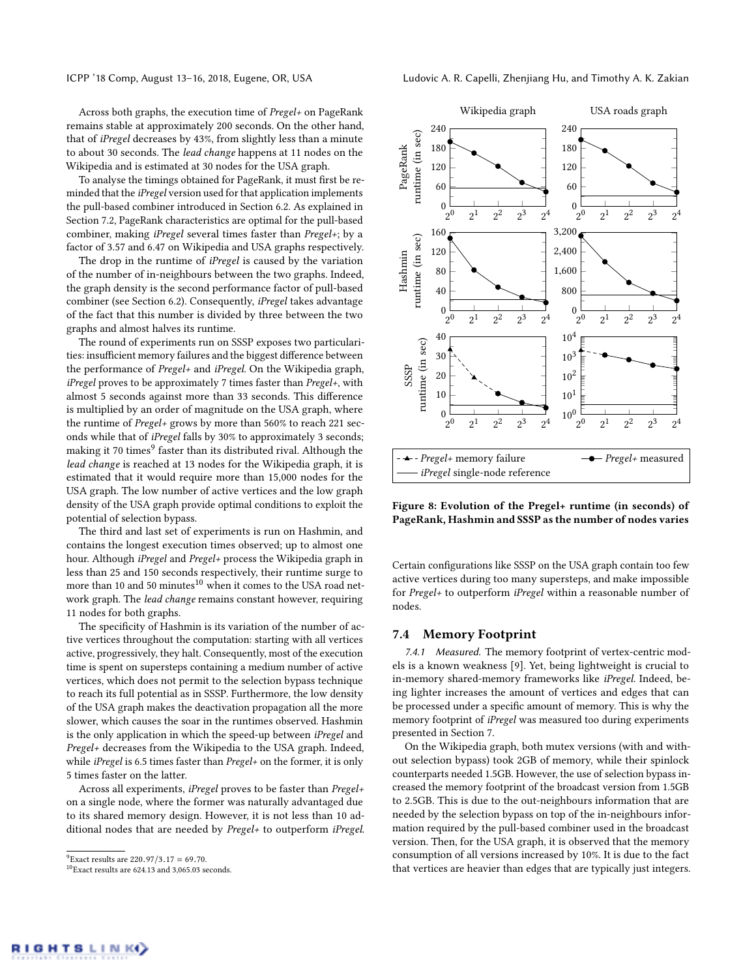Across both graphs, the execution time of Pregel+ on PageRank remains stable at approximately 200 seconds. On the other hand, that of iPregel decreases by 43%, from slightly less than a minute to about 30 seconds. The lead change happens at 11 nodes on the Wikipedia and is estimated at 30 nodes for the USA graph.

To analyse the timings obtained for PageRank, it must first be reminded that the iPregel version used for that application implements the pull-based combiner introduced in Section [6.2.](#page-4-5) As explained in Section [7.2,](#page-5-8) PageRank characteristics are optimal for the pull-based combiner, making iPregel several times faster than Pregel+; by a factor of 3.57 and 6.47 on Wikipedia and USA graphs respectively.

The drop in the runtime of *iPregel* is caused by the variation of the number of in-neighbours between the two graphs. Indeed, the graph density is the second performance factor of pull-based combiner (see Section [6.2\)](#page-4-5). Consequently, iPregel takes advantage of the fact that this number is divided by three between the two graphs and almost halves its runtime.

The round of experiments run on SSSP exposes two particularities: insufficient memory failures and the biggest difference between the performance of Pregel+ and iPregel. On the Wikipedia graph, iPregel proves to be approximately 7 times faster than Pregel+, with almost 5 seconds against more than 33 seconds. This difference is multiplied by an order of magnitude on the USA graph, where the runtime of Pregel+ grows by more than 560% to reach 221 seconds while that of iPregel falls by 30% to approximately 3 seconds; making it 70 times $^9$  $^9$  faster than its distributed rival. Although the lead change is reached at 13 nodes for the Wikipedia graph, it is estimated that it would require more than 15,000 nodes for the USA graph. The low number of active vertices and the low graph density of the USA graph provide optimal conditions to exploit the potential of selection bypass.

The third and last set of experiments is run on Hashmin, and contains the longest execution times observed; up to almost one hour. Although iPregel and Pregel+ process the Wikipedia graph in less than 25 and 150 seconds respectively, their runtime surge to more than [10](#page-7-2) and 50 minutes $^{10}$  when it comes to the USA road network graph. The lead change remains constant however, requiring 11 nodes for both graphs.

The specificity of Hashmin is its variation of the number of active vertices throughout the computation: starting with all vertices active, progressively, they halt. Consequently, most of the execution time is spent on supersteps containing a medium number of active vertices, which does not permit to the selection bypass technique to reach its full potential as in SSSP. Furthermore, the low density of the USA graph makes the deactivation propagation all the more slower, which causes the soar in the runtimes observed. Hashmin is the only application in which the speed-up between iPregel and Pregel+ decreases from the Wikipedia to the USA graph. Indeed, while *iPregel* is 6.5 times faster than *Pregel+* on the former, it is only 5 times faster on the latter.

Across all experiments, iPregel proves to be faster than Pregel+ on a single node, where the former was naturally advantaged due to its shared memory design. However, it is not less than 10 additional nodes that are needed by Pregel+ to outperform iPregel.

ICPP '18 Comp, August 13–16, 2018, Eugene, OR, USA Ludovic A. R. Capelli, Zhenjiang Hu, and Timothy A. K. Zakian

<span id="page-7-0"></span>

<span id="page-7-3"></span>Figure 8: Evolution of the Pregel+ runtime (in seconds) of PageRank, Hashmin and SSSP as the number of nodes varies

Certain configurations like SSSP on the USA graph contain too few active vertices during too many supersteps, and make impossible for Pregel+ to outperform iPregel within a reasonable number of nodes.

#### 7.4 Memory Footprint

7.4.1 Measured. The memory footprint of vertex-centric models is a known weakness [\[9\]](#page-9-7). Yet, being lightweight is crucial to in-memory shared-memory frameworks like iPregel. Indeed, being lighter increases the amount of vertices and edges that can be processed under a specific amount of memory. This is why the memory footprint of iPregel was measured too during experiments presented in Section [7.](#page-5-0)

On the Wikipedia graph, both mutex versions (with and without selection bypass) took 2GB of memory, while their spinlock counterparts needed 1.5GB. However, the use of selection bypass increased the memory footprint of the broadcast version from 1.5GB to 2.5GB. This is due to the out-neighbours information that are needed by the selection bypass on top of the in-neighbours information required by the pull-based combiner used in the broadcast version. Then, for the USA graph, it is observed that the memory consumption of all versions increased by 10%. It is due to the fact that vertices are heavier than edges that are typically just integers.

<span id="page-7-1"></span><sup>&</sup>lt;sup>9</sup>Exact results are 220.97/3.17 = 69.70.

<span id="page-7-2"></span> $^{10}\rm{Exact}$  results are 624.13 and 3,065.03 seconds.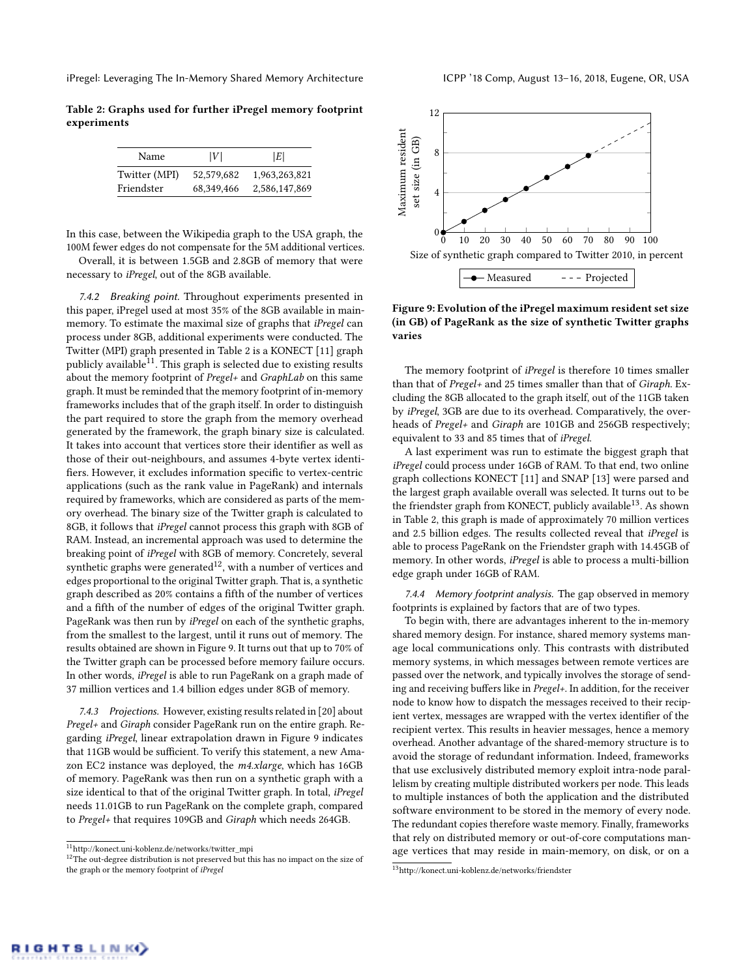<span id="page-8-0"></span>Table 2: Graphs used for further iPregel memory footprint experiments

| Name          | V          | E             |
|---------------|------------|---------------|
| Twitter (MPI) | 52,579,682 | 1,963,263,821 |
| Friendster    | 68,349,466 | 2,586,147,869 |

In this case, between the Wikipedia graph to the USA graph, the 100M fewer edges do not compensate for the 5M additional vertices.

Overall, it is between 1.5GB and 2.8GB of memory that were necessary to iPregel, out of the 8GB available.

7.4.2 Breaking point. Throughout experiments presented in this paper, iPregel used at most 35% of the 8GB available in mainmemory. To estimate the maximal size of graphs that iPregel can process under 8GB, additional experiments were conducted. The Twitter (MPI) graph presented in Table [2](#page-8-0) is a KONECT [\[11\]](#page-9-19) graph publicly available $^{11}$  $^{11}$  $^{11}$ . This graph is selected due to existing results about the memory footprint of Pregel+ and GraphLab on this same graph. It must be reminded that the memory footprint of in-memory frameworks includes that of the graph itself. In order to distinguish the part required to store the graph from the memory overhead generated by the framework, the graph binary size is calculated. It takes into account that vertices store their identifier as well as those of their out-neighbours, and assumes 4-byte vertex identifiers. However, it excludes information specific to vertex-centric applications (such as the rank value in PageRank) and internals required by frameworks, which are considered as parts of the memory overhead. The binary size of the Twitter graph is calculated to 8GB, it follows that iPregel cannot process this graph with 8GB of RAM. Instead, an incremental approach was used to determine the breaking point of iPregel with 8GB of memory. Concretely, several synthetic graphs were generated<sup>[12](#page-8-2)</sup>, with a number of vertices and edges proportional to the original Twitter graph. That is, a synthetic graph described as 20% contains a fifth of the number of vertices and a fifth of the number of edges of the original Twitter graph. PageRank was then run by iPregel on each of the synthetic graphs, from the smallest to the largest, until it runs out of memory. The results obtained are shown in Figure [9.](#page-8-3) It turns out that up to 70% of the Twitter graph can be processed before memory failure occurs. In other words, iPregel is able to run PageRank on a graph made of 37 million vertices and 1.4 billion edges under 8GB of memory.

7.4.3 Projections. However, existing results related in [\[20\]](#page-9-6) about Pregel+ and Giraph consider PageRank run on the entire graph. Regarding iPregel, linear extrapolation drawn in Figure [9](#page-8-3) indicates that 11GB would be sufficient. To verify this statement, a new Amazon EC2 instance was deployed, the m4.xlarge, which has 16GB of memory. PageRank was then run on a synthetic graph with a size identical to that of the original Twitter graph. In total, iPregel needs 11.01GB to run PageRank on the complete graph, compared to Pregel+ that requires 109GB and Giraph which needs 264GB.

<span id="page-8-1"></span>

<span id="page-8-2"></span> $^{12}\mathrm{The}$  out-degree distribution is not preserved but this has no impact on the size of the graph or the memory footprint of iPregel

<span id="page-8-3"></span>

Figure 9: Evolution of the iPregel maximum resident set size (in GB) of PageRank as the size of synthetic Twitter graphs varies

The memory footprint of *iPregel* is therefore 10 times smaller than that of Pregel+ and 25 times smaller than that of Giraph. Excluding the 8GB allocated to the graph itself, out of the 11GB taken by iPregel, 3GB are due to its overhead. Comparatively, the overheads of Pregel+ and Giraph are 101GB and 256GB respectively; equivalent to 33 and 85 times that of iPregel.

A last experiment was run to estimate the biggest graph that iPregel could process under 16GB of RAM. To that end, two online graph collections KONECT [\[11\]](#page-9-19) and SNAP [\[13\]](#page-9-21) were parsed and the largest graph available overall was selected. It turns out to be the friendster graph from KONECT, publicly available<sup>[13](#page-8-4)</sup>. As shown in Table [2,](#page-8-0) this graph is made of approximately 70 million vertices and 2.5 billion edges. The results collected reveal that iPregel is able to process PageRank on the Friendster graph with 14.45GB of memory. In other words, iPregel is able to process a multi-billion edge graph under 16GB of RAM.

7.4.4 Memory footprint analysis. The gap observed in memory footprints is explained by factors that are of two types.

To begin with, there are advantages inherent to the in-memory shared memory design. For instance, shared memory systems manage local communications only. This contrasts with distributed memory systems, in which messages between remote vertices are passed over the network, and typically involves the storage of sending and receiving buffers like in Pregel+. In addition, for the receiver node to know how to dispatch the messages received to their recipient vertex, messages are wrapped with the vertex identifier of the recipient vertex. This results in heavier messages, hence a memory overhead. Another advantage of the shared-memory structure is to avoid the storage of redundant information. Indeed, frameworks that use exclusively distributed memory exploit intra-node parallelism by creating multiple distributed workers per node. This leads to multiple instances of both the application and the distributed software environment to be stored in the memory of every node. The redundant copies therefore waste memory. Finally, frameworks that rely on distributed memory or out-of-core computations manage vertices that may reside in main-memory, on disk, or on a

<span id="page-8-4"></span><sup>13</sup>http://konect.uni-koblenz.de/networks/friendster